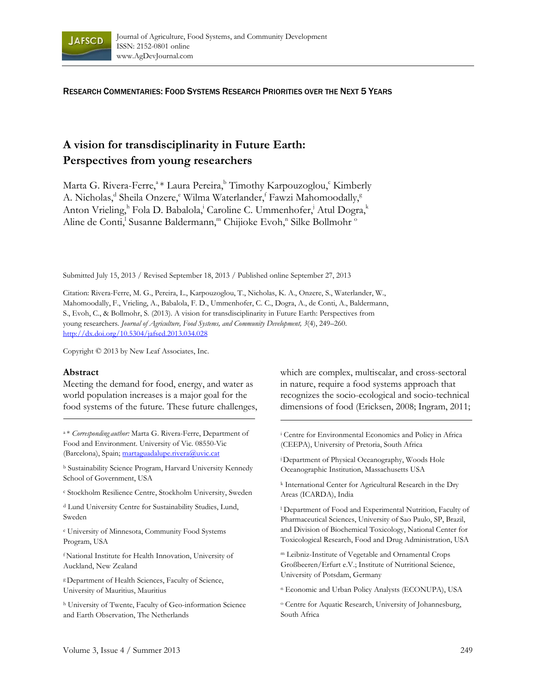

RESEARCH COMMENTARIES: FOOD SYSTEMS RESEARCH PRIORITIES OVER THE NEXT 5 YEARS

# **A vision for transdisciplinarity in Future Earth: Perspectives from young researchers**

Marta G. Rivera-Ferre,<sup>a</sup> \* Laura Pereira,<sup>b</sup> Timothy Karpouzoglou,<sup>c</sup> Kimberly A. Nicholas,<sup>d</sup> Sheila Onzere,<sup>e</sup> Wilma Waterlander,<sup>f</sup> Fawzi Mahomoodally,<sup>g</sup> Anton Vrieling,<sup>h</sup> Fola D. Babalola,<sup>i</sup> Caroline C. Ummenhofer,<sup>j</sup> Atul Dogra,<sup>k</sup> Aline de Conti,<sup>1</sup> Susanne Baldermann,<sup>m</sup> Chijioke Evoh,<sup>n</sup> Silke Bollmohr <sup>o</sup>

Submitted July 15, 2013 / Revised September 18, 2013 / Published online September 27, 2013

Citation: Rivera-Ferre, M. G., Pereira, L., Karpouzoglou, T., Nicholas, K. A., Onzere, S., Waterlander, W., Mahomoodally, F., Vrieling, A., Babalola, F. D., Ummenhofer, C. C., Dogra, A., de Conti, A., Baldermann, S., Evoh, C., & Bollmohr, S. (2013). A vision for transdisciplinarity in Future Earth: Perspectives from young researchers. *Journal of Agriculture, Food Systems, and Community Development, 3*(4), 249–260. http://dx.doi.org/10.5304/jafscd.2013.034.028

Copyright © 2013 by New Leaf Associates, Inc.

#### **Abstract**

Meeting the demand for food, energy, and water as world population increases is a major goal for the food systems of the future. These future challenges,

a \* *Corresponding author:* Marta G. Rivera-Ferre, Department of Food and Environment. University of Vic. 08550-Vic (Barcelona), Spain; martaguadalupe.rivera@uvic.cat

b Sustainability Science Program, Harvard University Kennedy School of Government, USA

c Stockholm Resilience Centre, Stockholm University, Sweden

d Lund University Centre for Sustainability Studies, Lund, Sweden

e University of Minnesota, Community Food Systems Program, USA

f National Institute for Health Innovation, University of Auckland, New Zealand

g Department of Health Sciences, Faculty of Science, University of Mauritius, Mauritius

h University of Twente, Faculty of Geo-information Science and Earth Observation, The Netherlands

which are complex, multiscalar, and cross-sectoral in nature, require a food systems approach that recognizes the socio-ecological and socio-technical dimensions of food (Ericksen, 2008; Ingram, 2011;

i Centre for Environmental Economics and Policy in Africa (CEEPA), University of Pretoria, South Africa

j Department of Physical Oceanography, Woods Hole Oceanographic Institution, Massachusetts USA

k International Center for Agricultural Research in the Dry Areas (ICARDA), India

l Department of Food and Experimental Nutrition, Faculty of Pharmaceutical Sciences, University of Sao Paulo, SP, Brazil, and Division of Biochemical Toxicology, National Center for Toxicological Research, Food and Drug Administration, USA

m Leibniz-Institute of Vegetable and Ornamental Crops Großbeeren/Erfurt e.V.; Institute of Nutritional Science, University of Potsdam, Germany

n Economic and Urban Policy Analysts (ECONUPA), USA

o Centre for Aquatic Research, University of Johannesburg, South Africa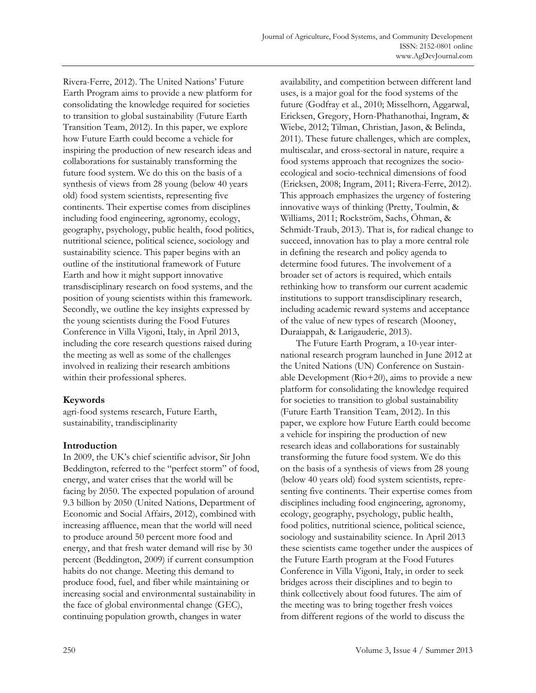Rivera-Ferre, 2012). The United Nations' Future Earth Program aims to provide a new platform for consolidating the knowledge required for societies to transition to global sustainability (Future Earth Transition Team, 2012). In this paper, we explore how Future Earth could become a vehicle for inspiring the production of new research ideas and collaborations for sustainably transforming the future food system. We do this on the basis of a synthesis of views from 28 young (below 40 years old) food system scientists, representing five continents. Their expertise comes from disciplines including food engineering, agronomy, ecology, geography, psychology, public health, food politics, nutritional science, political science, sociology and sustainability science. This paper begins with an outline of the institutional framework of Future Earth and how it might support innovative transdisciplinary research on food systems, and the position of young scientists within this framework. Secondly, we outline the key insights expressed by the young scientists during the Food Futures Conference in Villa Vigoni, Italy, in April 2013, including the core research questions raised during the meeting as well as some of the challenges involved in realizing their research ambitions within their professional spheres.

# **Keywords**

agri-food systems research, Future Earth, sustainability, trandisciplinarity

## **Introduction**

In 2009, the UK's chief scientific advisor, Sir John Beddington, referred to the "perfect storm" of food, energy, and water crises that the world will be facing by 2050. The expected population of around 9.3 billion by 2050 (United Nations, Department of Economic and Social Affairs, 2012), combined with increasing affluence, mean that the world will need to produce around 50 percent more food and energy, and that fresh water demand will rise by 30 percent (Beddington, 2009) if current consumption habits do not change. Meeting this demand to produce food, fuel, and fiber while maintaining or increasing social and environmental sustainability in the face of global environmental change (GEC), continuing population growth, changes in water

availability, and competition between different land uses, is a major goal for the food systems of the future (Godfray et al., 2010; Misselhorn, Aggarwal, Ericksen, Gregory, Horn-Phathanothai, Ingram, & Wiebe, 2012; Tilman, Christian, Jason, & Belinda, 2011). These future challenges, which are complex, multiscalar, and cross-sectoral in nature, require a food systems approach that recognizes the socioecological and socio-technical dimensions of food (Ericksen, 2008; Ingram, 2011; Rivera-Ferre, 2012). This approach emphasizes the urgency of fostering innovative ways of thinking (Pretty, Toulmin, & Williams, 2011; Rockström, Sachs, Öhman, & Schmidt-Traub, 2013). That is, for radical change to succeed, innovation has to play a more central role in defining the research and policy agenda to determine food futures. The involvement of a broader set of actors is required, which entails rethinking how to transform our current academic institutions to support transdisciplinary research, including academic reward systems and acceptance of the value of new types of research (Mooney, Duraiappah, & Larigauderie, 2013).

 The Future Earth Program, a 10-year international research program launched in June 2012 at the United Nations (UN) Conference on Sustainable Development (Rio+20), aims to provide a new platform for consolidating the knowledge required for societies to transition to global sustainability (Future Earth Transition Team, 2012). In this paper, we explore how Future Earth could become a vehicle for inspiring the production of new research ideas and collaborations for sustainably transforming the future food system. We do this on the basis of a synthesis of views from 28 young (below 40 years old) food system scientists, representing five continents. Their expertise comes from disciplines including food engineering, agronomy, ecology, geography, psychology, public health, food politics, nutritional science, political science, sociology and sustainability science. In April 2013 these scientists came together under the auspices of the Future Earth program at the Food Futures Conference in Villa Vigoni, Italy, in order to seek bridges across their disciplines and to begin to think collectively about food futures. The aim of the meeting was to bring together fresh voices from different regions of the world to discuss the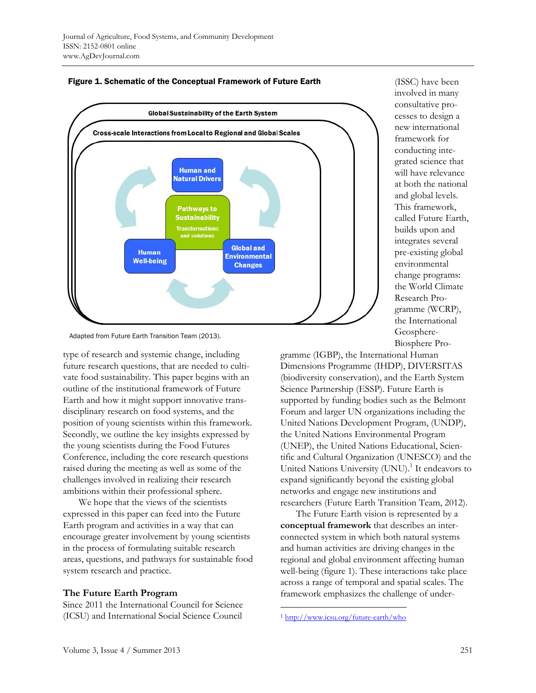



type of research and systemic change, including future research questions, that are needed to cultivate food sustainability. This paper begins with an outline of the institutional framework of Future Earth and how it might support innovative transdisciplinary research on food systems, and the position of young scientists within this framework. Secondly, we outline the key insights expressed by the young scientists during the Food Futures Conference, including the core research questions raised during the meeting as well as some of the challenges involved in realizing their research ambitions within their professional sphere.

 We hope that the views of the scientists expressed in this paper can feed into the Future Earth program and activities in a way that can encourage greater involvement by young scientists in the process of formulating suitable research areas, questions, and pathways for sustainable food system research and practice.

## **The Future Earth Program**

Since 2011 the International Council for Science (ICSU) and International Social Science Council

(ISSC) have been involved in many consultative processes to design a new international framework for conducting integrated science that will have relevance at both the national and global levels. This framework, called Future Earth, builds upon and integrates several pre-existing global environmental change programs: the World Climate Research Programme (WCRP), the International Geosphere-Biosphere Pro-

gramme (IGBP), the International Human Dimensions Programme (IHDP), DIVERSITAS (biodiversity conservation), and the Earth System Science Partnership (ESSP). Future Earth is supported by funding bodies such as the Belmont Forum and larger UN organizations including the United Nations Development Program, (UNDP), the United Nations Environmental Program (UNEP), the United Nations Educational, Scientific and Cultural Organization (UNESCO) and the United Nations University (UNU).<sup>1</sup> It endeavors to expand significantly beyond the existing global networks and engage new institutions and researchers (Future Earth Transition Team, 2012).

 The Future Earth vision is represented by a **conceptual framework** that describes an interconnected system in which both natural systems and human activities are driving changes in the regional and global environment affecting human well-being (figure 1). These interactions take place across a range of temporal and spatial scales. The framework emphasizes the challenge of under-

 $\overline{a}$ 

Adapted from Future Earth Transition Team (2013).

<sup>1</sup> http://www.icsu.org/future-earth/who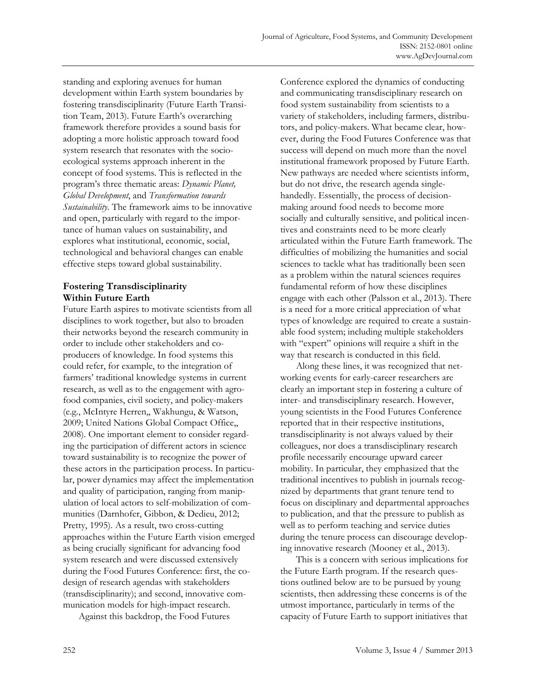standing and exploring avenues for human development within Earth system boundaries by fostering transdisciplinarity (Future Earth Transition Team, 2013). Future Earth's overarching framework therefore provides a sound basis for adopting a more holistic approach toward food system research that resonates with the socioecological systems approach inherent in the concept of food systems. This is reflected in the program's three thematic areas: *Dynamic Planet, Global Development*, and *Transformation towards Sustainability*. The framework aims to be innovative and open, particularly with regard to the importance of human values on sustainability, and explores what institutional, economic, social, technological and behavioral changes can enable effective steps toward global sustainability.

# **Fostering Transdisciplinarity Within Future Earth**

Future Earth aspires to motivate scientists from all disciplines to work together, but also to broaden their networks beyond the research community in order to include other stakeholders and coproducers of knowledge. In food systems this could refer, for example, to the integration of farmers' traditional knowledge systems in current research, as well as to the engagement with agrofood companies, civil society, and policy-makers (e.g., McIntyre Herren,, Wakhungu, & Watson, 2009; United Nations Global Compact Office,, 2008). One important element to consider regarding the participation of different actors in science toward sustainability is to recognize the power of these actors in the participation process. In particular, power dynamics may affect the implementation and quality of participation, ranging from manipulation of local actors to self-mobilization of communities (Darnhofer, Gibbon, & Dedieu, 2012; Pretty, 1995). As a result, two cross-cutting approaches within the Future Earth vision emerged as being crucially significant for advancing food system research and were discussed extensively during the Food Futures Conference: first, the codesign of research agendas with stakeholders (transdisciplinarity); and second, innovative communication models for high-impact research.

Against this backdrop, the Food Futures

Conference explored the dynamics of conducting and communicating transdisciplinary research on food system sustainability from scientists to a variety of stakeholders, including farmers, distributors, and policy-makers. What became clear, however, during the Food Futures Conference was that success will depend on much more than the novel institutional framework proposed by Future Earth. New pathways are needed where scientists inform, but do not drive, the research agenda singlehandedly. Essentially, the process of decisionmaking around food needs to become more socially and culturally sensitive, and political incentives and constraints need to be more clearly articulated within the Future Earth framework. The difficulties of mobilizing the humanities and social sciences to tackle what has traditionally been seen as a problem within the natural sciences requires fundamental reform of how these disciplines engage with each other (Palsson et al., 2013). There is a need for a more critical appreciation of what types of knowledge are required to create a sustainable food system; including multiple stakeholders with "expert" opinions will require a shift in the way that research is conducted in this field.

 Along these lines, it was recognized that networking events for early-career researchers are clearly an important step in fostering a culture of inter- and transdisciplinary research. However, young scientists in the Food Futures Conference reported that in their respective institutions, transdisciplinarity is not always valued by their colleagues, nor does a transdisciplinary research profile necessarily encourage upward career mobility. In particular, they emphasized that the traditional incentives to publish in journals recognized by departments that grant tenure tend to focus on disciplinary and departmental approaches to publication, and that the pressure to publish as well as to perform teaching and service duties during the tenure process can discourage developing innovative research (Mooney et al., 2013).

 This is a concern with serious implications for the Future Earth program. If the research questions outlined below are to be pursued by young scientists, then addressing these concerns is of the utmost importance, particularly in terms of the capacity of Future Earth to support initiatives that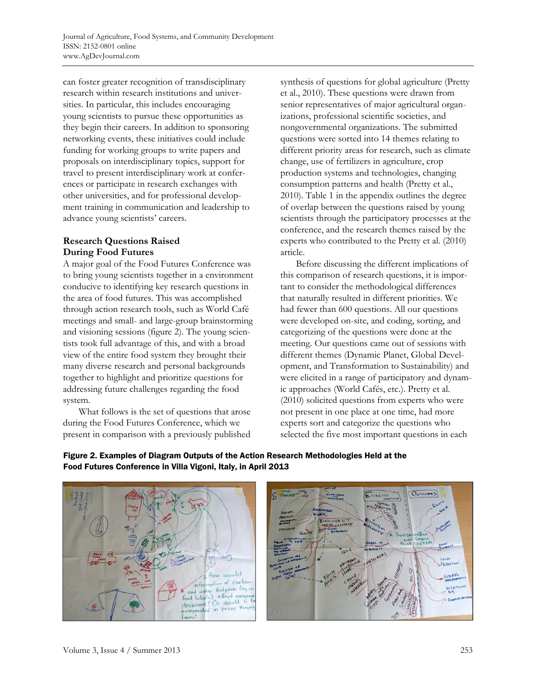can foster greater recognition of transdisciplinary research within research institutions and universities. In particular, this includes encouraging young scientists to pursue these opportunities as they begin their careers. In addition to sponsoring networking events, these initiatives could include funding for working groups to write papers and proposals on interdisciplinary topics, support for travel to present interdisciplinary work at conferences or participate in research exchanges with other universities, and for professional development training in communication and leadership to advance young scientists' careers.

# **Research Questions Raised During Food Futures**

A major goal of the Food Futures Conference was to bring young scientists together in a environment conducive to identifying key research questions in the area of food futures. This was accomplished through action research tools, such as World Café meetings and small- and large-group brainstorming and visioning sessions (figure 2). The young scientists took full advantage of this, and with a broad view of the entire food system they brought their many diverse research and personal backgrounds together to highlight and prioritize questions for addressing future challenges regarding the food system.

 What follows is the set of questions that arose during the Food Futures Conference, which we present in comparison with a previously published synthesis of questions for global agriculture (Pretty et al., 2010). These questions were drawn from senior representatives of major agricultural organizations, professional scientific societies, and nongovernmental organizations. The submitted questions were sorted into 14 themes relating to different priority areas for research, such as climate change, use of fertilizers in agriculture, crop production systems and technologies, changing consumption patterns and health (Pretty et al., 2010). Table 1 in the appendix outlines the degree of overlap between the questions raised by young scientists through the participatory processes at the conference, and the research themes raised by the experts who contributed to the Pretty et al. (2010) article.

 Before discussing the different implications of this comparison of research questions, it is important to consider the methodological differences that naturally resulted in different priorities. We had fewer than 600 questions. All our questions were developed on-site, and coding, sorting, and categorizing of the questions were done at the meeting. Our questions came out of sessions with different themes (Dynamic Planet, Global Development, and Transformation to Sustainability) and were elicited in a range of participatory and dynamic approaches (World Cafés, etc.). Pretty et al. (2010) solicited questions from experts who were not present in one place at one time, had more experts sort and categorize the questions who selected the five most important questions in each





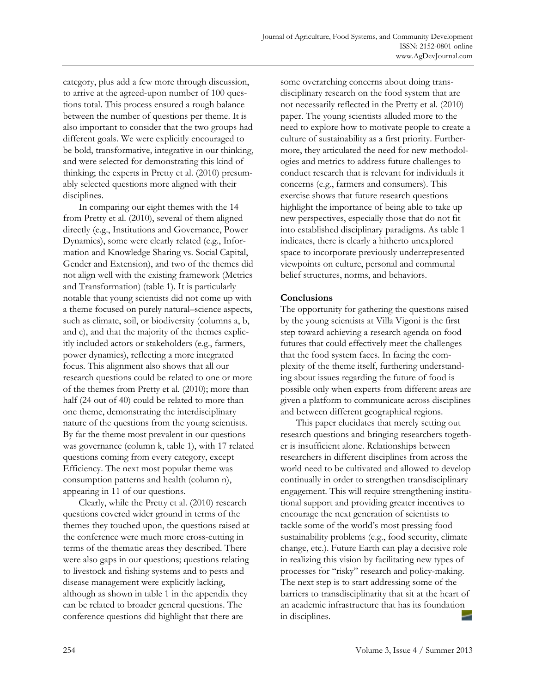category, plus add a few more through discussion, to arrive at the agreed-upon number of 100 questions total. This process ensured a rough balance between the number of questions per theme. It is also important to consider that the two groups had different goals. We were explicitly encouraged to be bold, transformative, integrative in our thinking, and were selected for demonstrating this kind of thinking; the experts in Pretty et al. (2010) presumably selected questions more aligned with their disciplines.

 In comparing our eight themes with the 14 from Pretty et al. (2010), several of them aligned directly (e.g., Institutions and Governance, Power Dynamics), some were clearly related (e.g., Information and Knowledge Sharing vs. Social Capital, Gender and Extension), and two of the themes did not align well with the existing framework (Metrics and Transformation) (table 1). It is particularly notable that young scientists did not come up with a theme focused on purely natural–science aspects, such as climate, soil, or biodiversity (columns a, b, and c), and that the majority of the themes explicitly included actors or stakeholders (e.g., farmers, power dynamics), reflecting a more integrated focus. This alignment also shows that all our research questions could be related to one or more of the themes from Pretty et al. (2010); more than half (24 out of 40) could be related to more than one theme, demonstrating the interdisciplinary nature of the questions from the young scientists. By far the theme most prevalent in our questions was governance (column k, table 1), with 17 related questions coming from every category, except Efficiency. The next most popular theme was consumption patterns and health (column n), appearing in 11 of our questions.

 Clearly, while the Pretty et al. (2010) research questions covered wider ground in terms of the themes they touched upon, the questions raised at the conference were much more cross-cutting in terms of the thematic areas they described. There were also gaps in our questions; questions relating to livestock and fishing systems and to pests and disease management were explicitly lacking, although as shown in table 1 in the appendix they can be related to broader general questions. The conference questions did highlight that there are

some overarching concerns about doing transdisciplinary research on the food system that are not necessarily reflected in the Pretty et al. (2010) paper. The young scientists alluded more to the need to explore how to motivate people to create a culture of sustainability as a first priority. Furthermore, they articulated the need for new methodologies and metrics to address future challenges to conduct research that is relevant for individuals it concerns (e.g., farmers and consumers). This exercise shows that future research questions highlight the importance of being able to take up new perspectives, especially those that do not fit into established disciplinary paradigms. As table 1 indicates, there is clearly a hitherto unexplored space to incorporate previously underrepresented viewpoints on culture, personal and communal belief structures, norms, and behaviors.

## **Conclusions**

The opportunity for gathering the questions raised by the young scientists at Villa Vigoni is the first step toward achieving a research agenda on food futures that could effectively meet the challenges that the food system faces. In facing the complexity of the theme itself, furthering understanding about issues regarding the future of food is possible only when experts from different areas are given a platform to communicate across disciplines and between different geographical regions.

 This paper elucidates that merely setting out research questions and bringing researchers together is insufficient alone. Relationships between researchers in different disciplines from across the world need to be cultivated and allowed to develop continually in order to strengthen transdisciplinary engagement. This will require strengthening institutional support and providing greater incentives to encourage the next generation of scientists to tackle some of the world's most pressing food sustainability problems (e.g., food security, climate change, etc.). Future Earth can play a decisive role in realizing this vision by facilitating new types of processes for "risky" research and policy-making. The next step is to start addressing some of the barriers to transdisciplinarity that sit at the heart of an academic infrastructure that has its foundation in disciplines.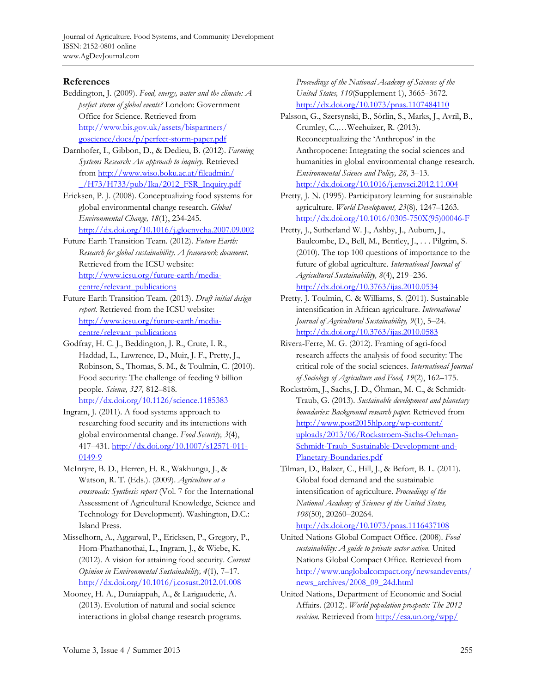Journal of Agriculture, Food Systems, and Community Development ISSN: 2152-0801 online www.AgDevJournal.com

# **References**

- Beddington, J. (2009). *Food, energy, water and the climate: A perfect storm of global events?* London: Government Office for Science. Retrieved from [http://www.bis.gov.uk/assets/bispartners/](http://www.bis.gov.uk/assets/bispartners/goscience/docs/p/perfect-storm-paper.pdf)  goscience/docs/p/perfect-storm-paper.pdf
- Darnhofer, I., Gibbon, D., & Dedieu, B. (2012). *Farming Systems Research: An approach to inquiry.* Retrieved from http://www.wiso.boku.ac.at/fileadmin/ [\\_/H73/H733/pub/Ika/2012\\_FSR\\_Inquiry.pdf](http://www.wiso.boku.ac.at/fileadmin/_/H73/H733/pub/Ika/2012_FSR_Inquiry.pdf)
- Ericksen, P. J. (2008). Conceptualizing food systems for global environmental change research. *Global Environmental Change, 18*(1), 234-245. http://dx.doi.org/10.1016/j.gloenvcha.2007.09.002
- Future Earth Transition Team. (2012). *Future Earth: Research for global sustainability. A framework document.* Retrieved from the ICSU website: http://www.icsu.org/future-earth/mediacentre/relevant\_publications
- Future Earth Transition Team. (2013). *Draft initial design report.* Retrieved from the ICSU website: http://www.icsu.org/future-earth/mediacentre/relevant\_publications
- Godfray, H. C. J., Beddington, J. R., Crute, I. R., Haddad, L., Lawrence, D., Muir, J. F., Pretty, J., Robinson, S., Thomas, S. M., & Toulmin, C. (2010). Food security: The challenge of feeding 9 billion people. *Science, 327,* 812–818. http://dx.doi.org/10.1126/science.1185383
- Ingram, J. (2011). A food systems approach to researching food security and its interactions with global environmental change. *Food Security, 3*(4), 417–431. http://dx.doi.org/10.1007/s12571-011- 0149-9
- McIntyre, B. D., Herren, H. R., Wakhungu, J., & Watson, R. T. (Eds.). (2009). *Agriculture at a crossroads: Synthesis report* (Vol. 7 for the International Assessment of Agricultural Knowledge, Science and Technology for Development). Washington, D.C.: Island Press.
- Misselhorn, A., Aggarwal, P., Ericksen, P., Gregory, P., Horn-Phathanothai, L., Ingram, J., & Wiebe, K. (2012). A vision for attaining food security. *Current Opinion in Environmental Sustainability, 4*(1), 7–17. http://dx.doi.org/10.1016/j.cosust.2012.01.008
- Mooney, H. A., Duraiappah, A., & Larigauderie, A. (2013). Evolution of natural and social science interactions in global change research programs.

*Proceedings of the National Academy of Sciences of the United States, 110*(Supplement 1), 3665–3672. http://dx.doi.org/10.1073/pnas.1107484110

- Palsson, G., Szersynski, B., Sörlin, S., Marks, J., Avril, B., Crumley, C.,…Weehuizer, R. (2013). Reconceptualizing the 'Anthropos' in the Anthropocene: Integrating the social sciences and humanities in global environmental change research. *Environmental Science and Policy, 28,* 3–13. http://dx.doi.org/10.1016/j.envsci.2012.11.004
- Pretty, J. N. (1995). Participatory learning for sustainable agriculture. *World Development, 23*(8), 1247–1263. [http://dx.doi.org/10.1016/0305-750X\(95\)00046-F](http://dx.doi.org/10.1016/0305-750X(95)00046-F)
- Pretty, J., Sutherland W. J., Ashby, J., Auburn, J., Baulcombe, D., Bell, M., Bentley, J., . . . Pilgrim, S. (2010). The top 100 questions of importance to the future of global agriculture. *International Journal of Agricultural Sustainability, 8*(4), 219–236. http://dx.doi.org/10.3763/ijas.2010.0534
- Pretty, J. Toulmin, C. & Williams, S. (2011). Sustainable intensification in African agriculture. *International Journal of Agricultural Sustainability, 9*(1), 5–24. http://dx.doi.org/10.3763/ijas.2010.0583
- Rivera-Ferre, M. G. (2012). Framing of agri-food research affects the analysis of food security: The critical role of the social sciences. *International Journal of Sociology of Agriculture and Food, 19*(2), 162–175.
- Rockström, J., Sachs, J. D., Öhman, M. C., & Schmidt-Traub, G. (2013). *Sustainable development and planetary boundaries: Background research paper.* Retrieved from http://www.post2015hlp.org/wp-content/ [uploads/2013/06/Rockstroem-Sachs-Oehman-](http://www.post2015hlp.org/wp-content/uploads/2013/06/Rockstroem-Sachs-Oehman-Schmidt-Traub_Sustainable-Development-and-Planetary-Boundaries.pdf)Schmidt-Traub\_Sustainable-Development-and-Planetary-Boundaries.pdf
- Tilman, D., Balzer, C., Hill, J., & Befort, B. L. (2011). Global food demand and the sustainable intensification of agriculture. *Proceedings of the National Academy of Sciences of the United States, 108*(50), 20260–20264.

http://dx.doi.org/10.1073/pnas.1116437108

- United Nations Global Compact Office. (2008). *Food sustainability: A guide to private sector action.* United Nations Global Compact Office. Retrieved from [http://www.unglobalcompact.org/newsandevents/](http://www.unglobalcompact.org/newsandevents/news_archives/2008_09_24d.html) news\_archives/2008\_09\_24d.html
- United Nations, Department of Economic and Social Affairs. (2012). *World population prospects: The 2012 revision.* Retrieved from http://esa.un.org/wpp/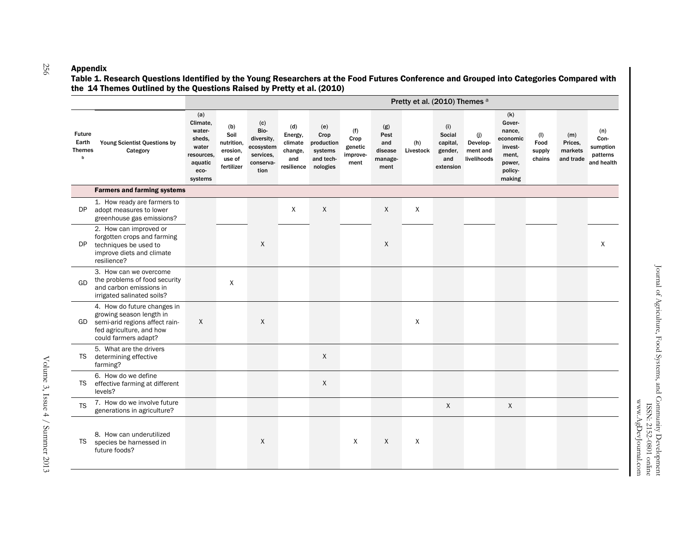#### Appendi x

 Table 1. Research Questions Identified by the Young Researchers at the Food Futures Conference and Grouped into Categories Compared with the 14 Themes Outlined by the Questions Raised by Pretty et al. (2010)

|                                              |                                                                                                                                               | Pretty et al. (2010) Themes a                                                            |                                                               |                                                                          |                                                           |                                                               |                                            |                                                  |                  |                                                          |                                            |                                                                                        |                                 |                                        |                                                   |
|----------------------------------------------|-----------------------------------------------------------------------------------------------------------------------------------------------|------------------------------------------------------------------------------------------|---------------------------------------------------------------|--------------------------------------------------------------------------|-----------------------------------------------------------|---------------------------------------------------------------|--------------------------------------------|--------------------------------------------------|------------------|----------------------------------------------------------|--------------------------------------------|----------------------------------------------------------------------------------------|---------------------------------|----------------------------------------|---------------------------------------------------|
| <b>Future</b><br>Earth<br><b>Themes</b><br>b | Young Scientist Questions by<br>Category                                                                                                      | (a)<br>Climate,<br>water-<br>sheds,<br>water<br>resources,<br>aquatic<br>eco-<br>systems | (b)<br>Soil<br>nutrition,<br>erosion.<br>use of<br>fertilizer | (c)<br>Bio-<br>diversity,<br>ecosystem<br>services,<br>conserva-<br>tion | (d)<br>Energy,<br>climate<br>change,<br>and<br>resilience | (e)<br>Crop<br>production<br>systems<br>and tech-<br>nologies | (f)<br>Crop<br>genetic<br>improve-<br>ment | (g)<br>Pest<br>and<br>disease<br>manage-<br>ment | (h)<br>Livestock | (i)<br>Social<br>capital,<br>gender,<br>and<br>extension | (j)<br>Develop-<br>ment and<br>livelihoods | (k)<br>Gover-<br>nance.<br>economic<br>invest-<br>ment,<br>power,<br>policy-<br>making | (1)<br>Food<br>supply<br>chains | (m)<br>Prices.<br>markets<br>and trade | (n)<br>Con-<br>sumption<br>patterns<br>and health |
|                                              | <b>Farmers and farming systems</b>                                                                                                            |                                                                                          |                                                               |                                                                          |                                                           |                                                               |                                            |                                                  |                  |                                                          |                                            |                                                                                        |                                 |                                        |                                                   |
| DP                                           | 1. How ready are farmers to<br>adopt measures to lower<br>greenhouse gas emissions?                                                           |                                                                                          |                                                               |                                                                          | X                                                         | X                                                             |                                            | X                                                | X                |                                                          |                                            |                                                                                        |                                 |                                        |                                                   |
| DP                                           | 2. How can improved or<br>forgotten crops and farming<br>techniques be used to<br>improve diets and climate<br>resilience?                    |                                                                                          |                                                               | X                                                                        |                                                           |                                                               |                                            | X                                                |                  |                                                          |                                            |                                                                                        |                                 |                                        | X                                                 |
| GD                                           | 3. How can we overcome<br>the problems of food security<br>and carbon emissions in<br>irrigated salinated soils?                              |                                                                                          | X                                                             |                                                                          |                                                           |                                                               |                                            |                                                  |                  |                                                          |                                            |                                                                                        |                                 |                                        |                                                   |
| GD.                                          | 4. How do future changes in<br>growing season length in<br>semi-arid regions affect rain-<br>fed agriculture, and how<br>could farmers adapt? | $\sf X$                                                                                  |                                                               | X                                                                        |                                                           |                                                               |                                            |                                                  | X                |                                                          |                                            |                                                                                        |                                 |                                        |                                                   |
| TS                                           | 5. What are the drivers<br>determining effective<br>farming?                                                                                  |                                                                                          |                                                               |                                                                          |                                                           | X                                                             |                                            |                                                  |                  |                                                          |                                            |                                                                                        |                                 |                                        |                                                   |
| TS                                           | 6. How do we define<br>effective farming at different<br>levels?                                                                              |                                                                                          |                                                               |                                                                          |                                                           | X                                                             |                                            |                                                  |                  |                                                          |                                            |                                                                                        |                                 |                                        |                                                   |
| <b>TS</b>                                    | 7. How do we involve future<br>generations in agriculture?                                                                                    |                                                                                          |                                                               |                                                                          |                                                           |                                                               |                                            |                                                  |                  | $\mathsf{X}$                                             |                                            | X                                                                                      |                                 |                                        |                                                   |
| <b>TS</b>                                    | 8. How can underutilized<br>species be harnessed in<br>future foods?                                                                          |                                                                                          |                                                               | X                                                                        |                                                           |                                                               | X                                          | X                                                | Χ                |                                                          |                                            |                                                                                        |                                 |                                        |                                                   |

256

www.AgDevJournal.com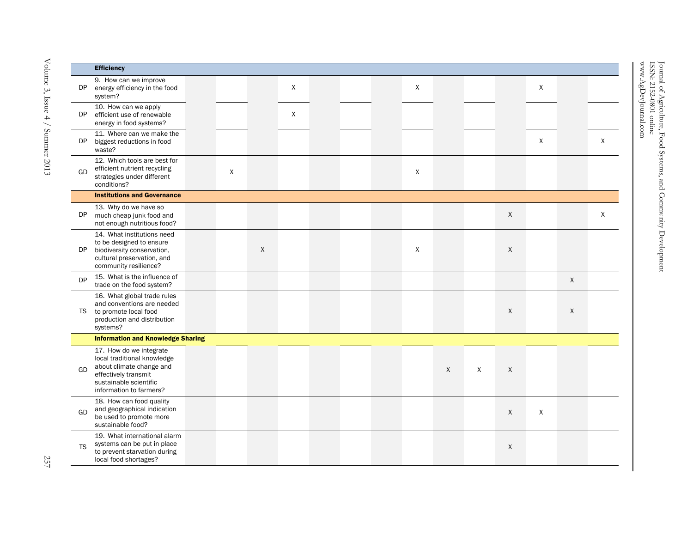|           | <b>Efficiency</b>                                                                                                                                               |   |             |   |  |             |        |   |   |              |              |         |
|-----------|-----------------------------------------------------------------------------------------------------------------------------------------------------------------|---|-------------|---|--|-------------|--------|---|---|--------------|--------------|---------|
| DP        | 9. How can we improve<br>energy efficiency in the food<br>system?                                                                                               |   |             | X |  | $\mathsf X$ |        |   |   | X            |              |         |
| DP        | 10. How can we apply<br>efficient use of renewable<br>energy in food systems?                                                                                   |   |             | X |  |             |        |   |   |              |              |         |
| DP.       | 11. Where can we make the<br>biggest reductions in food<br>waste?                                                                                               |   |             |   |  |             |        |   |   | $\mathsf{X}$ |              | $\sf X$ |
| GD        | 12. Which tools are best for<br>efficient nutrient recycling<br>strategies under different<br>conditions?                                                       | X |             |   |  | $\sf X$     |        |   |   |              |              |         |
|           | <b>Institutions and Governance</b>                                                                                                                              |   |             |   |  |             |        |   |   |              |              |         |
| DP        | 13. Why do we have so<br>much cheap junk food and<br>not enough nutritious food?                                                                                |   |             |   |  |             |        |   | X |              |              | X       |
| DP        | 14. What institutions need<br>to be designed to ensure<br>biodiversity conservation,<br>cultural preservation, and<br>community resilience?                     |   | $\mathsf X$ |   |  | X           |        |   | X |              |              |         |
| <b>DP</b> | 15. What is the influence of<br>trade on the food system?                                                                                                       |   |             |   |  |             |        |   |   |              | $\mathsf{X}$ |         |
| <b>TS</b> | 16. What global trade rules<br>and conventions are needed<br>to promote local food<br>production and distribution<br>systems?                                   |   |             |   |  |             |        |   | X |              | X            |         |
|           | <b>Information and Knowledge Sharing</b>                                                                                                                        |   |             |   |  |             |        |   |   |              |              |         |
| GD        | 17. How do we integrate<br>local traditional knowledge<br>about climate change and<br>effectively transmit<br>sustainable scientific<br>information to farmers? |   |             |   |  |             | $\chi$ | X | X |              |              |         |
| GD        | 18. How can food quality<br>and geographical indication<br>be used to promote more<br>sustainable food?                                                         |   |             |   |  |             |        |   | X | $\mathsf{X}$ |              |         |
| <b>TS</b> | 19. What international alarm<br>systems can be put in place<br>to prevent starvation during<br>local food shortages?                                            |   |             |   |  |             |        |   | X |              |              |         |

Journal of Agriculture, Food Systems, and Community Development Journal of Agriculture, Food Systems, and Community Development<br>ISSN: 2152-0801 online<br>www.AgDevJournal.com

ISSN: 2152-0801 online ww.AgDevJournal.com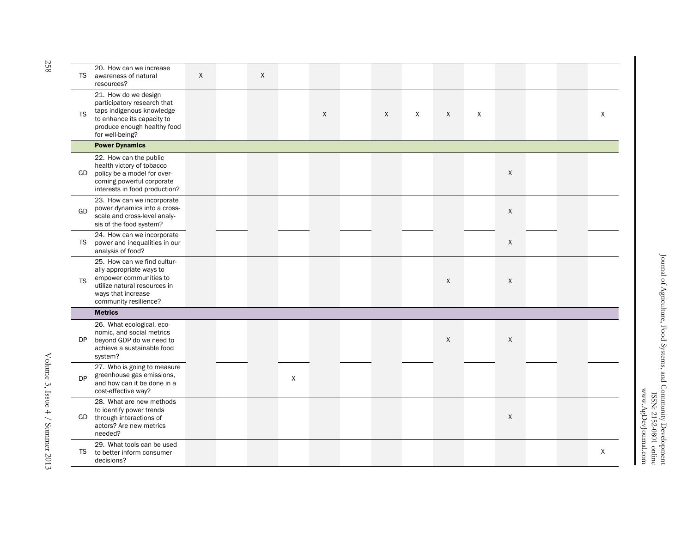| <b>TS</b> | 20. How can we increase<br>awareness of natural<br>resources?                                                                                                    | $\sf X$ | $\mathsf{X}$ |   |   |   |   |              |   |              |  |   |
|-----------|------------------------------------------------------------------------------------------------------------------------------------------------------------------|---------|--------------|---|---|---|---|--------------|---|--------------|--|---|
| <b>TS</b> | 21. How do we design<br>participatory research that<br>taps indigenous knowledge<br>to enhance its capacity to<br>produce enough healthy food<br>for well-being? |         |              |   | X | X | X | $\mathsf{X}$ | X |              |  | X |
|           | <b>Power Dynamics</b>                                                                                                                                            |         |              |   |   |   |   |              |   |              |  |   |
| GD        | 22. How can the public<br>health victory of tobacco<br>policy be a model for over-<br>coming powerful corporate<br>interests in food production?                 |         |              |   |   |   |   |              |   | $\mathsf{X}$ |  |   |
| GD        | 23. How can we incorporate<br>power dynamics into a cross-<br>scale and cross-level analy-<br>sis of the food system?                                            |         |              |   |   |   |   |              |   | $\sf X$      |  |   |
| <b>TS</b> | 24. How can we incorporate<br>power and inequalities in our<br>analysis of food?                                                                                 |         |              |   |   |   |   |              |   | X            |  |   |
| <b>TS</b> | 25. How can we find cultur-<br>ally appropriate ways to<br>empower communities to<br>utilize natural resources in<br>ways that increase<br>community resilience? |         |              |   |   |   |   | $\sf X$      |   | X            |  |   |
|           | <b>Metrics</b>                                                                                                                                                   |         |              |   |   |   |   |              |   |              |  |   |
| DP        | 26. What ecological, eco-<br>nomic, and social metrics<br>beyond GDP do we need to<br>achieve a sustainable food<br>system?                                      |         |              |   |   |   |   | X            |   | X            |  |   |
| <b>DP</b> | 27. Who is going to measure<br>greenhouse gas emissions,<br>and how can it be done in a<br>cost-effective way?                                                   |         |              | X |   |   |   |              |   |              |  |   |
| GD        | 28. What are new methods<br>to identify power trends<br>through interactions of<br>actors? Are new metrics<br>needed?                                            |         |              |   |   |   |   |              |   | $\mathsf{X}$ |  |   |
| TS        | 29. What tools can be used<br>to better inform consumer<br>decisions?                                                                                            |         |              |   |   |   |   |              |   |              |  | X |

Volume 3, Issue 4 / Summer 2013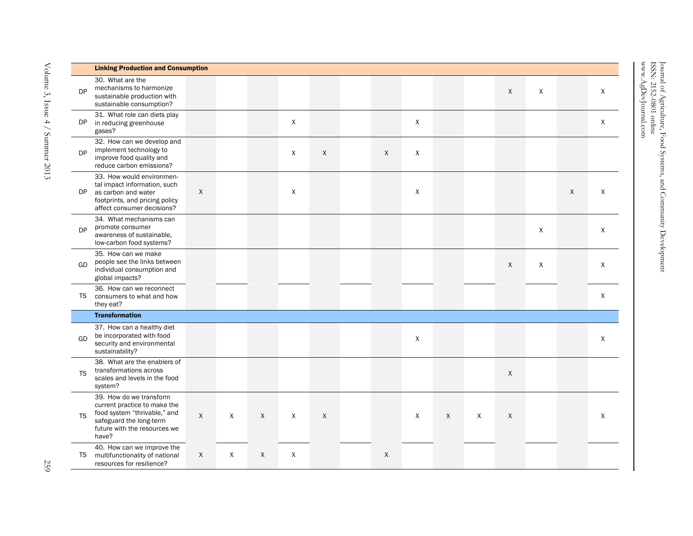|           | <b>Linking Production and Consumption</b>                                                                                                                   |   |   |              |             |                           |              |              |              |              |              |   |         |              |
|-----------|-------------------------------------------------------------------------------------------------------------------------------------------------------------|---|---|--------------|-------------|---------------------------|--------------|--------------|--------------|--------------|--------------|---|---------|--------------|
| <b>DP</b> | 30. What are the<br>mechanisms to harmonize<br>sustainable production with<br>sustainable consumption?                                                      |   |   |              |             |                           |              |              |              |              | $\sf X$      | X |         | X            |
| DP        | 31. What role can diets play<br>in reducing greenhouse<br>gases?                                                                                            |   |   |              | $\mathsf X$ |                           |              | $\mathsf{X}$ |              |              |              |   |         | X            |
| <b>DP</b> | 32. How can we develop and<br>implement technology to<br>improve food quality and<br>reduce carbon emissions?                                               |   |   |              | X           | $\boldsymbol{\mathsf{X}}$ | $\mathsf{X}$ | X            |              |              |              |   |         |              |
| DP        | 33. How would environmen-<br>tal impact information, such<br>as carbon and water<br>footprints, and pricing policy<br>affect consumer decisions?            | X |   |              | X           |                           |              | X            |              |              |              |   | $\sf X$ | X            |
| <b>DP</b> | 34. What mechanisms can<br>promote consumer<br>awareness of sustainable,<br>low-carbon food systems?                                                        |   |   |              |             |                           |              |              |              |              |              | X |         | X            |
| GD        | 35. How can we make<br>people see the links between<br>individual consumption and<br>global impacts?                                                        |   |   |              |             |                           |              |              |              |              | $\chi$       | X |         | $\mathsf{X}$ |
| TS        | 36. How can we reconnect<br>consumers to what and how<br>they eat?                                                                                          |   |   |              |             |                           |              |              |              |              |              |   |         | X            |
|           | <b>Transformation</b>                                                                                                                                       |   |   |              |             |                           |              |              |              |              |              |   |         |              |
| GD        | 37. How can a healthy diet<br>be incorporated with food<br>security and environmental<br>sustainability?                                                    |   |   |              |             |                           |              | X            |              |              |              |   |         | X            |
| <b>TS</b> | 38. What are the enablers of<br>transformations across<br>scales and levels in the food<br>system?                                                          |   |   |              |             |                           |              |              |              |              | $\mathsf{X}$ |   |         |              |
| <b>TS</b> | 39. How do we transform<br>current practice to make the<br>food system "thrivable," and<br>safeguard the long-term<br>future with the resources we<br>have? | X | X | $\mathsf{X}$ | X           | $\boldsymbol{\mathsf{X}}$ |              | X            | $\mathsf{X}$ | $\mathsf{X}$ | X            |   |         | Χ            |
| TS        | 40. How can we improve the<br>multifunctionality of national<br>resources for resilience?                                                                   | X | X | $\sf X$      | X           |                           | $\sf X$      |              |              |              |              |   |         |              |